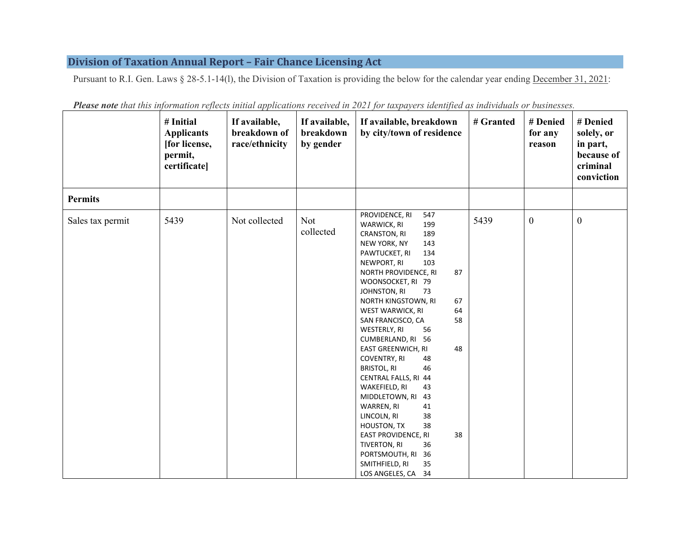## **Division of Taxation Annual Report – Fair Chance Licensing Act**

Pursuant to R.I. Gen. Laws § 28-5.1-14(1), the Division of Taxation is providing the below for the calendar year ending December 31, 2021:

|                  | # Initial<br><b>Applicants</b><br>[for license,<br>permit,<br>certificate] | If available,<br>breakdown of<br>race/ethnicity | If available,<br>breakdown<br>by gender | If available, breakdown<br>by city/town of residence                                                                                                                                                                                                                                                                                                                                                                                                                                                                                                                                                                                                                                             | # Granted | # Denied<br>for any<br>reason | # Denied<br>solely, or<br>in part,<br>because of<br>criminal<br>conviction |
|------------------|----------------------------------------------------------------------------|-------------------------------------------------|-----------------------------------------|--------------------------------------------------------------------------------------------------------------------------------------------------------------------------------------------------------------------------------------------------------------------------------------------------------------------------------------------------------------------------------------------------------------------------------------------------------------------------------------------------------------------------------------------------------------------------------------------------------------------------------------------------------------------------------------------------|-----------|-------------------------------|----------------------------------------------------------------------------|
| <b>Permits</b>   |                                                                            |                                                 |                                         |                                                                                                                                                                                                                                                                                                                                                                                                                                                                                                                                                                                                                                                                                                  |           |                               |                                                                            |
| Sales tax permit | 5439                                                                       | Not collected                                   | <b>Not</b><br>collected                 | PROVIDENCE, RI<br>547<br>WARWICK, RI<br>199<br>CRANSTON, RI<br>189<br>NEW YORK, NY<br>143<br>PAWTUCKET, RI<br>134<br>103<br>NEWPORT, RI<br>NORTH PROVIDENCE, RI<br>87<br>WOONSOCKET, RI 79<br>JOHNSTON, RI<br>73<br>NORTH KINGSTOWN, RI<br>67<br>WEST WARWICK, RI<br>64<br>SAN FRANCISCO, CA<br>58<br>WESTERLY, RI<br>56<br>CUMBERLAND, RI 56<br><b>EAST GREENWICH, RI</b><br>48<br>COVENTRY, RI<br>48<br><b>BRISTOL, RI</b><br>46<br>CENTRAL FALLS, RI 44<br>WAKEFIELD, RI<br>43<br>MIDDLETOWN, RI<br>43<br>WARREN, RI<br>41<br>LINCOLN, RI<br>38<br>38<br>HOUSTON, TX<br>EAST PROVIDENCE, RI<br>38<br>TIVERTON, RI<br>36<br>PORTSMOUTH, RI<br>36<br>SMITHFIELD, RI<br>35<br>LOS ANGELES, CA 34 | 5439      | $\mathbf{0}$                  | $\boldsymbol{0}$                                                           |

*Please note that this information reflects initial applications received in 2021 for taxpayers identified as individuals or businesses.*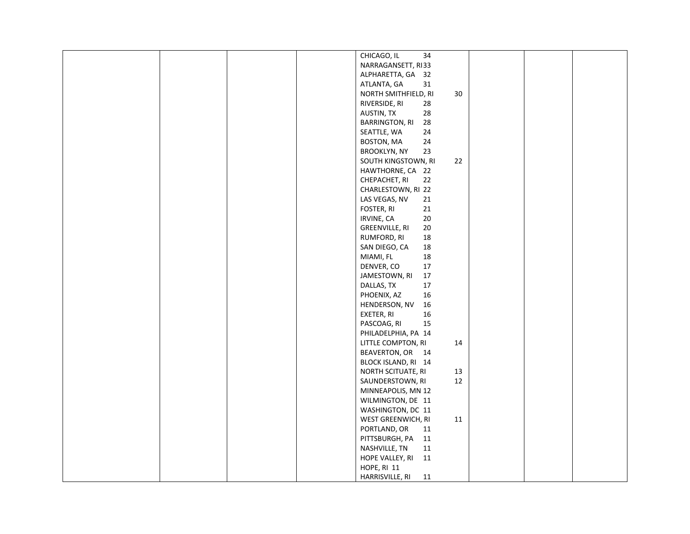|  | CHICAGO, IL           | 34     |  |  |
|--|-----------------------|--------|--|--|
|  | NARRAGANSETT, RI33    |        |  |  |
|  | ALPHARETTA, GA        | 32     |  |  |
|  | ATLANTA, GA           | 31     |  |  |
|  |                       |        |  |  |
|  | NORTH SMITHFIELD, RI  | 30     |  |  |
|  | RIVERSIDE, RI         | 28     |  |  |
|  | AUSTIN, TX            | 28     |  |  |
|  | <b>BARRINGTON, RI</b> | 28     |  |  |
|  | SEATTLE, WA           | 24     |  |  |
|  | BOSTON, MA            | 24     |  |  |
|  | <b>BROOKLYN, NY</b>   | 23     |  |  |
|  |                       |        |  |  |
|  | SOUTH KINGSTOWN, RI   | 22     |  |  |
|  | HAWTHORNE, CA 22      |        |  |  |
|  | CHEPACHET, RI         | 22     |  |  |
|  | CHARLESTOWN, RI 22    |        |  |  |
|  | LAS VEGAS, NV         | $21\,$ |  |  |
|  | FOSTER, RI            | 21     |  |  |
|  | IRVINE, CA            | 20     |  |  |
|  |                       |        |  |  |
|  | GREENVILLE, RI        | 20     |  |  |
|  | RUMFORD, RI           | 18     |  |  |
|  | SAN DIEGO, CA         | 18     |  |  |
|  | MIAMI, FL             | $18\,$ |  |  |
|  | DENVER, CO            | $17\,$ |  |  |
|  | JAMESTOWN, RI         | 17     |  |  |
|  |                       | $17\,$ |  |  |
|  | DALLAS, TX            |        |  |  |
|  | PHOENIX, AZ           | 16     |  |  |
|  | HENDERSON, NV         | 16     |  |  |
|  | EXETER, RI            | 16     |  |  |
|  | PASCOAG, RI           | 15     |  |  |
|  | PHILADELPHIA, PA 14   |        |  |  |
|  | LITTLE COMPTON, RI    | 14     |  |  |
|  | BEAVERTON, OR 14      |        |  |  |
|  |                       |        |  |  |
|  | BLOCK ISLAND, RI 14   |        |  |  |
|  | NORTH SCITUATE, RI    | 13     |  |  |
|  | SAUNDERSTOWN, RI      | $12\,$ |  |  |
|  | MINNEAPOLIS, MN 12    |        |  |  |
|  | WILMINGTON, DE 11     |        |  |  |
|  | WASHINGTON, DC 11     |        |  |  |
|  | WEST GREENWICH, RI    | 11     |  |  |
|  |                       |        |  |  |
|  | PORTLAND, OR          | 11     |  |  |
|  | PITTSBURGH, PA        | 11     |  |  |
|  | NASHVILLE, TN         | 11     |  |  |
|  | HOPE VALLEY, RI       | 11     |  |  |
|  | HOPE, RI 11           |        |  |  |
|  | HARRISVILLE, RI       | 11     |  |  |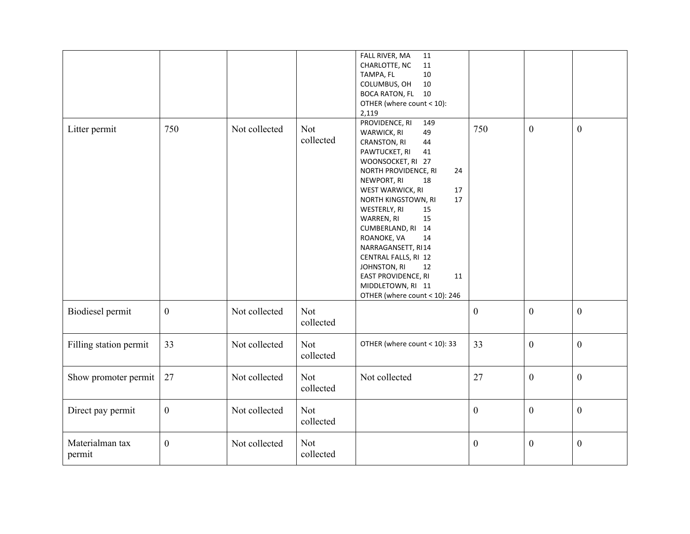|                           |              |               |                         | FALL RIVER, MA<br>11<br>CHARLOTTE, NC<br>11<br>TAMPA, FL<br>$10\,$<br>10<br>COLUMBUS, OH<br>BOCA RATON, FL 10<br>OTHER (where count < 10):<br>2,119                                                                                                                                                                                                                                                                                                               |                  |                  |                  |
|---------------------------|--------------|---------------|-------------------------|-------------------------------------------------------------------------------------------------------------------------------------------------------------------------------------------------------------------------------------------------------------------------------------------------------------------------------------------------------------------------------------------------------------------------------------------------------------------|------------------|------------------|------------------|
| Litter permit             | 750          | Not collected | <b>Not</b><br>collected | PROVIDENCE, RI<br>149<br>WARWICK, RI<br>49<br>CRANSTON, RI<br>44<br>PAWTUCKET, RI<br>41<br>WOONSOCKET, RI 27<br>NORTH PROVIDENCE, RI<br>24<br>NEWPORT, RI<br>18<br>WEST WARWICK, RI<br>17<br>NORTH KINGSTOWN, RI<br>17<br>WESTERLY, RI<br>15<br>WARREN, RI<br>15<br>CUMBERLAND, RI 14<br>ROANOKE, VA<br>14<br>NARRAGANSETT, RI14<br>CENTRAL FALLS, RI 12<br>JOHNSTON, RI<br>12<br>EAST PROVIDENCE, RI<br>11<br>MIDDLETOWN, RI 11<br>OTHER (where count < 10): 246 | 750              | $\overline{0}$   | $\boldsymbol{0}$ |
| Biodiesel permit          | $\mathbf{0}$ | Not collected | Not<br>collected        |                                                                                                                                                                                                                                                                                                                                                                                                                                                                   | $\boldsymbol{0}$ | $\mathbf{0}$     | $\boldsymbol{0}$ |
| Filling station permit    | 33           | Not collected | <b>Not</b><br>collected | OTHER (where count < 10): 33                                                                                                                                                                                                                                                                                                                                                                                                                                      | 33               | $\boldsymbol{0}$ | $\boldsymbol{0}$ |
| Show promoter permit      | 27           | Not collected | <b>Not</b><br>collected | Not collected                                                                                                                                                                                                                                                                                                                                                                                                                                                     | 27               | $\mathbf{0}$     | $\boldsymbol{0}$ |
| Direct pay permit         | $\mathbf{0}$ | Not collected | <b>Not</b><br>collected |                                                                                                                                                                                                                                                                                                                                                                                                                                                                   | $\boldsymbol{0}$ | $\mathbf{0}$     | $\boldsymbol{0}$ |
| Materialman tax<br>permit | $\mathbf{0}$ | Not collected | <b>Not</b><br>collected |                                                                                                                                                                                                                                                                                                                                                                                                                                                                   | $\boldsymbol{0}$ | $\mathbf{0}$     | $\boldsymbol{0}$ |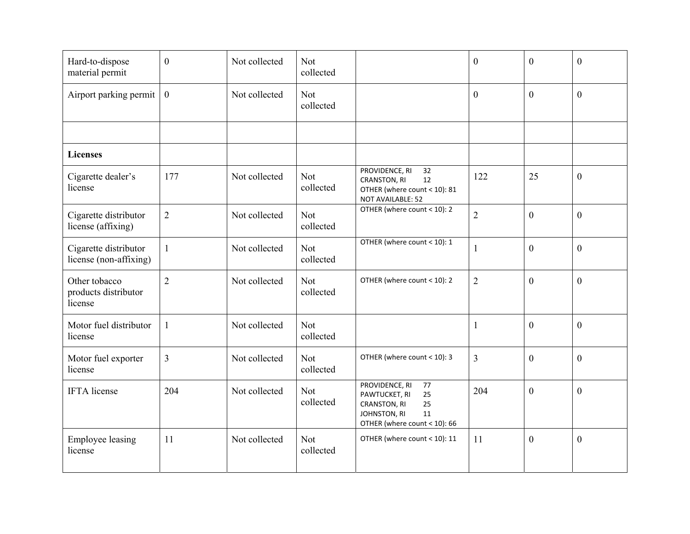| Hard-to-dispose<br>material permit               | $\mathbf{0}$   | Not collected | Not<br>collected        |                                                                                                                         | $\overline{0}$ | $\overline{0}$ | $\mathbf{0}$     |
|--------------------------------------------------|----------------|---------------|-------------------------|-------------------------------------------------------------------------------------------------------------------------|----------------|----------------|------------------|
| Airport parking permit                           | $\mathbf{0}$   | Not collected | <b>Not</b><br>collected |                                                                                                                         | $\overline{0}$ | $\overline{0}$ | $\mathbf{0}$     |
|                                                  |                |               |                         |                                                                                                                         |                |                |                  |
| <b>Licenses</b>                                  |                |               |                         |                                                                                                                         |                |                |                  |
| Cigarette dealer's<br>license                    | 177            | Not collected | Not<br>collected        | PROVIDENCE, RI<br>32<br>CRANSTON, RI<br>12<br>OTHER (where count < 10): 81<br>NOT AVAILABLE: 52                         | 122            | 25             | $\mathbf{0}$     |
| Cigarette distributor<br>license (affixing)      | $\overline{2}$ | Not collected | Not<br>collected        | OTHER (where count < 10): 2                                                                                             | $\overline{2}$ | $\overline{0}$ | $\boldsymbol{0}$ |
| Cigarette distributor<br>license (non-affixing)  | $\mathbf{1}$   | Not collected | <b>Not</b><br>collected | OTHER (where count < 10): 1                                                                                             | 1              | $\overline{0}$ | $\overline{0}$   |
| Other tobacco<br>products distributor<br>license | $\overline{2}$ | Not collected | Not<br>collected        | OTHER (where count < 10): 2                                                                                             | $\overline{2}$ | $\overline{0}$ | $\mathbf{0}$     |
| Motor fuel distributor<br>license                | $\mathbf{1}$   | Not collected | <b>Not</b><br>collected |                                                                                                                         | 1              | $\overline{0}$ | $\mathbf{0}$     |
| Motor fuel exporter<br>license                   | $\overline{3}$ | Not collected | Not<br>collected        | OTHER (where count < 10): 3                                                                                             | $\overline{3}$ | $\theta$       | $\mathbf{0}$     |
| <b>IFTA</b> license                              | 204            | Not collected | <b>Not</b><br>collected | PROVIDENCE, RI<br>77<br>PAWTUCKET, RI<br>25<br>CRANSTON, RI<br>25<br>JOHNSTON, RI<br>11<br>OTHER (where count < 10): 66 | 204            | $\overline{0}$ | $\overline{0}$   |
| <b>Employee leasing</b><br>license               | 11             | Not collected | <b>Not</b><br>collected | OTHER (where count < 10): 11                                                                                            | 11             | $\overline{0}$ | $\boldsymbol{0}$ |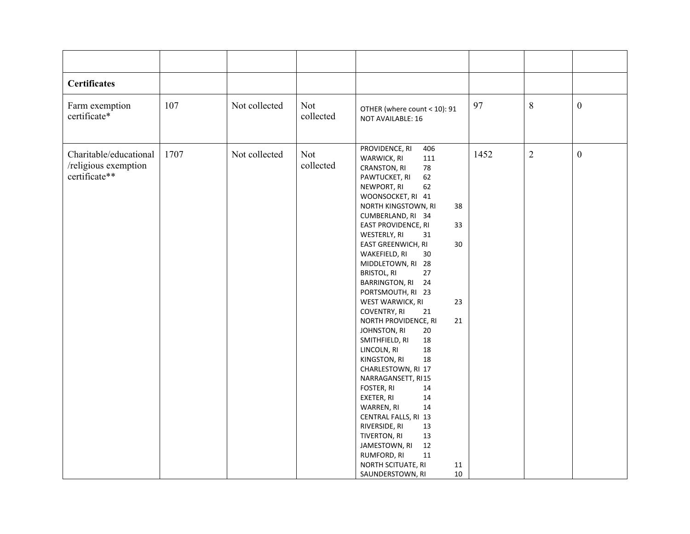| <b>Certificates</b>                                             |      |               |                  |                                                                                                                                                                                                                                                                                                                                                                                                                                                                                                                                                                                                                                                                                                                                                                                                                                                           |      |                |                  |
|-----------------------------------------------------------------|------|---------------|------------------|-----------------------------------------------------------------------------------------------------------------------------------------------------------------------------------------------------------------------------------------------------------------------------------------------------------------------------------------------------------------------------------------------------------------------------------------------------------------------------------------------------------------------------------------------------------------------------------------------------------------------------------------------------------------------------------------------------------------------------------------------------------------------------------------------------------------------------------------------------------|------|----------------|------------------|
| Farm exemption<br>certificate*                                  | 107  | Not collected | Not<br>collected | OTHER (where count < 10): 91<br>NOT AVAILABLE: 16                                                                                                                                                                                                                                                                                                                                                                                                                                                                                                                                                                                                                                                                                                                                                                                                         | 97   | $8\phantom{.}$ | $\boldsymbol{0}$ |
| Charitable/educational<br>/religious exemption<br>certificate** | 1707 | Not collected | Not<br>collected | PROVIDENCE, RI<br>406<br>WARWICK, RI<br>111<br>78<br>CRANSTON, RI<br>62<br>PAWTUCKET, RI<br>62<br>NEWPORT, RI<br>WOONSOCKET, RI 41<br>NORTH KINGSTOWN, RI<br>38<br>CUMBERLAND, RI 34<br>EAST PROVIDENCE, RI<br>33<br>WESTERLY, RI<br>31<br>$30\,$<br>EAST GREENWICH, RI<br>WAKEFIELD, RI<br>30<br>MIDDLETOWN, RI 28<br><b>BRISTOL, RI</b><br>27<br><b>BARRINGTON, RI</b><br>24<br>PORTSMOUTH, RI 23<br>23<br>WEST WARWICK, RI<br>COVENTRY, RI<br>21<br>NORTH PROVIDENCE, RI<br>21<br>JOHNSTON, RI<br>20<br>SMITHFIELD, RI<br>18<br>18<br>LINCOLN, RI<br>KINGSTON, RI<br>18<br>CHARLESTOWN, RI 17<br>NARRAGANSETT, RI15<br>FOSTER, RI<br>14<br>14<br>EXETER, RI<br>14<br>WARREN, RI<br>CENTRAL FALLS, RI 13<br>RIVERSIDE, RI<br>13<br>TIVERTON, RI<br>13<br>12<br>JAMESTOWN, RI<br>RUMFORD, RI<br>11<br>11<br>NORTH SCITUATE, RI<br>10<br>SAUNDERSTOWN, RI | 1452 | $\overline{2}$ | $\boldsymbol{0}$ |